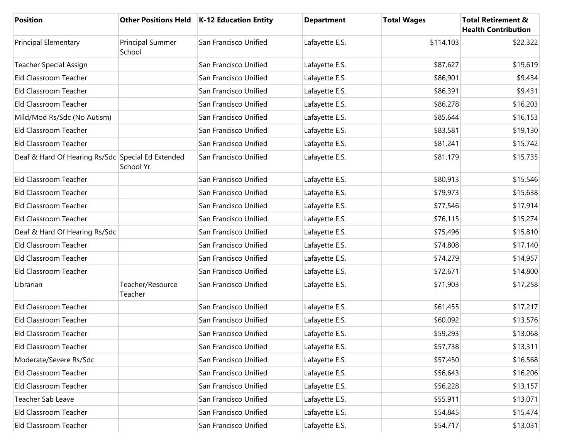| <b>Position</b>                                   |                                   | Other Positions Held   K-12 Education Entity | <b>Department</b> | <b>Total Wages</b> | <b>Total Retirement &amp;</b><br><b>Health Contribution</b> |
|---------------------------------------------------|-----------------------------------|----------------------------------------------|-------------------|--------------------|-------------------------------------------------------------|
| <b>Principal Elementary</b>                       | <b>Principal Summer</b><br>School | San Francisco Unified                        | Lafayette E.S.    | \$114,103          | \$22,322                                                    |
| <b>Teacher Special Assign</b>                     |                                   | San Francisco Unified                        | Lafayette E.S.    | \$87,627           | \$19,619                                                    |
| Eld Classroom Teacher                             |                                   | San Francisco Unified                        | Lafayette E.S.    | \$86,901           | \$9,434                                                     |
| Eld Classroom Teacher                             |                                   | San Francisco Unified                        | Lafayette E.S.    | \$86,391           | \$9,431                                                     |
| Eld Classroom Teacher                             |                                   | San Francisco Unified                        | Lafayette E.S.    | \$86,278           | \$16,203                                                    |
| Mild/Mod Rs/Sdc (No Autism)                       |                                   | San Francisco Unified                        | Lafayette E.S.    | \$85,644           | \$16,153                                                    |
| Eld Classroom Teacher                             |                                   | San Francisco Unified                        | Lafayette E.S.    | \$83,581           | \$19,130                                                    |
| Eld Classroom Teacher                             |                                   | San Francisco Unified                        | Lafayette E.S.    | \$81,241           | \$15,742                                                    |
| Deaf & Hard Of Hearing Rs/Sdc Special Ed Extended | School Yr.                        | San Francisco Unified                        | Lafayette E.S.    | \$81,179           | \$15,735                                                    |
| Eld Classroom Teacher                             |                                   | San Francisco Unified                        | Lafayette E.S.    | \$80,913           | \$15,546                                                    |
| Eld Classroom Teacher                             |                                   | San Francisco Unified                        | Lafayette E.S.    | \$79,973           | \$15,638                                                    |
| Eld Classroom Teacher                             |                                   | San Francisco Unified                        | Lafayette E.S.    | \$77,546           | \$17,914                                                    |
| Eld Classroom Teacher                             |                                   | San Francisco Unified                        | Lafayette E.S.    | \$76,115           | \$15,274                                                    |
| Deaf & Hard Of Hearing Rs/Sdc                     |                                   | San Francisco Unified                        | Lafayette E.S.    | \$75,496           | \$15,810                                                    |
| Eld Classroom Teacher                             |                                   | San Francisco Unified                        | Lafayette E.S.    | \$74,808           | \$17,140                                                    |
| Eld Classroom Teacher                             |                                   | San Francisco Unified                        | Lafayette E.S.    | \$74,279           | \$14,957                                                    |
| Eld Classroom Teacher                             |                                   | San Francisco Unified                        | Lafayette E.S.    | \$72,671           | \$14,800                                                    |
| Librarian                                         | Teacher/Resource<br>Teacher       | San Francisco Unified                        | Lafayette E.S.    | \$71,903           | \$17,258                                                    |
| Eld Classroom Teacher                             |                                   | San Francisco Unified                        | Lafayette E.S.    | \$61,455           | \$17,217                                                    |
| Eld Classroom Teacher                             |                                   | San Francisco Unified                        | Lafayette E.S.    | \$60,092           | \$13,576                                                    |
| Eld Classroom Teacher                             |                                   | San Francisco Unified                        | Lafayette E.S.    | \$59,293           | \$13,068                                                    |
| Eld Classroom Teacher                             |                                   | San Francisco Unified                        | Lafayette E.S.    | \$57,738           | \$13,311                                                    |
| Moderate/Severe Rs/Sdc                            |                                   | San Francisco Unified                        | Lafayette E.S.    | \$57,450           | \$16,568                                                    |
| Eld Classroom Teacher                             |                                   | San Francisco Unified                        | Lafayette E.S.    | \$56,643           | \$16,206                                                    |
| Eld Classroom Teacher                             |                                   | San Francisco Unified                        | Lafayette E.S.    | \$56,228           | \$13,157                                                    |
| Teacher Sab Leave                                 |                                   | San Francisco Unified                        | Lafayette E.S.    | \$55,911           | \$13,071                                                    |
| Eld Classroom Teacher                             |                                   | San Francisco Unified                        | Lafayette E.S.    | \$54,845           | \$15,474                                                    |
| Eld Classroom Teacher                             |                                   | San Francisco Unified                        | Lafayette E.S.    | \$54,717           | \$13,031                                                    |